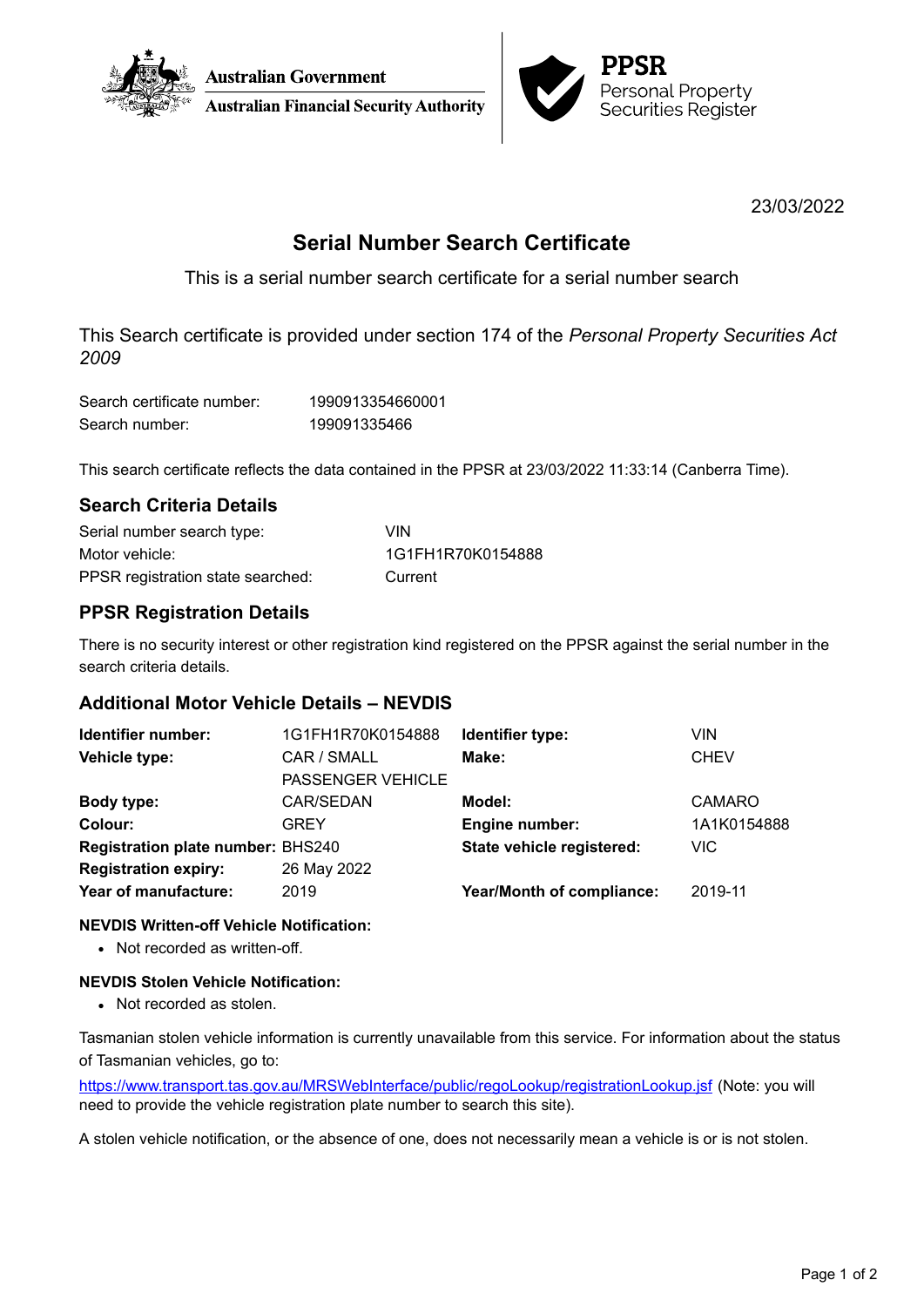



23/03/2022

# **Serial Number Search Certificate**

This is a serial number search certificate for a serial number search

This Search certificate is provided under section 174 of the *Personal Property Securities Act 2009*

| Search certificate number: | 1990913354660001 |
|----------------------------|------------------|
| Search number:             | 199091335466     |

This search certificate reflects the data contained in the PPSR at 23/03/2022 11:33:14 (Canberra Time).

# **Search Criteria Details**

| Serial number search type:        | VIN               |
|-----------------------------------|-------------------|
| Motor vehicle:                    | 1G1FH1R70K0154888 |
| PPSR registration state searched: | Current           |

# **PPSR Registration Details**

There is no security interest or other registration kind registered on the PPSR against the serial number in the search criteria details.

# **Additional Motor Vehicle Details – NEVDIS**

| Identifier number:                       | 1G1FH1R70K0154888        | Identifier type:                 | VIN           |
|------------------------------------------|--------------------------|----------------------------------|---------------|
| Vehicle type:                            | CAR / SMALL              | Make:                            | <b>CHEV</b>   |
|                                          | <b>PASSENGER VEHICLE</b> |                                  |               |
| Body type:                               | CAR/SEDAN                | Model:                           | <b>CAMARO</b> |
| Colour:                                  | GREY                     | Engine number:                   | 1A1K0154888   |
| <b>Registration plate number: BHS240</b> |                          | State vehicle registered:        | <b>VIC</b>    |
| <b>Registration expiry:</b>              | 26 May 2022              |                                  |               |
| Year of manufacture:                     | 2019                     | <b>Year/Month of compliance:</b> | 2019-11       |
|                                          |                          |                                  |               |

### **NEVDIS Written-off Vehicle Notification:**

• Not recorded as written-off.

### **NEVDIS Stolen Vehicle Notification:**

• Not recorded as stolen.

Tasmanian stolen vehicle information is currently unavailable from this service. For information about the status of Tasmanian vehicles, go to:

<https://www.transport.tas.gov.au/MRSWebInterface/public/regoLookup/registrationLookup.jsf> (Note: you will need to provide the vehicle registration plate number to search this site).

A stolen vehicle notification, or the absence of one, does not necessarily mean a vehicle is or is not stolen.